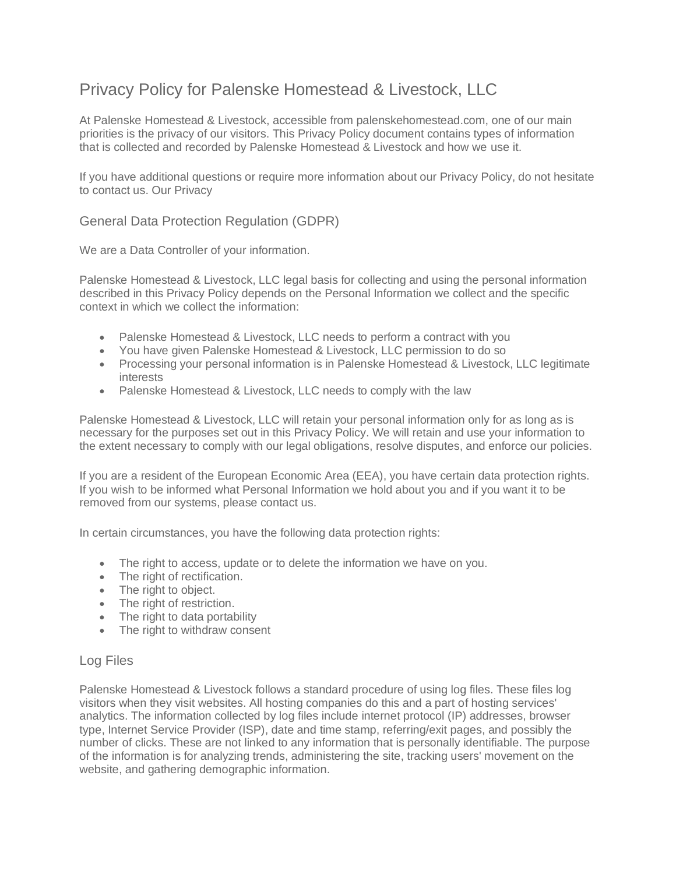# Privacy Policy for Palenske Homestead & Livestock, LLC

At Palenske Homestead & Livestock, accessible from palenskehomestead.com, one of our main priorities is the privacy of our visitors. This Privacy Policy document contains types of information that is collected and recorded by Palenske Homestead & Livestock and how we use it.

If you have additional questions or require more information about our Privacy Policy, do not hesitate to contact us. Our Privacy

General Data Protection Regulation (GDPR)

We are a Data Controller of your information.

Palenske Homestead & Livestock, LLC legal basis for collecting and using the personal information described in this Privacy Policy depends on the Personal Information we collect and the specific context in which we collect the information:

- Palenske Homestead & Livestock, LLC needs to perform a contract with you
- You have given Palenske Homestead & Livestock, LLC permission to do so
- Processing your personal information is in Palenske Homestead & Livestock, LLC legitimate interests
- Palenske Homestead & Livestock, LLC needs to comply with the law

Palenske Homestead & Livestock, LLC will retain your personal information only for as long as is necessary for the purposes set out in this Privacy Policy. We will retain and use your information to the extent necessary to comply with our legal obligations, resolve disputes, and enforce our policies.

If you are a resident of the European Economic Area (EEA), you have certain data protection rights. If you wish to be informed what Personal Information we hold about you and if you want it to be removed from our systems, please contact us.

In certain circumstances, you have the following data protection rights:

- The right to access, update or to delete the information we have on you.
- The right of rectification.
- The right to object.
- The right of restriction.
- The right to data portability
- The right to withdraw consent

# Log Files

Palenske Homestead & Livestock follows a standard procedure of using log files. These files log visitors when they visit websites. All hosting companies do this and a part of hosting services' analytics. The information collected by log files include internet protocol (IP) addresses, browser type, Internet Service Provider (ISP), date and time stamp, referring/exit pages, and possibly the number of clicks. These are not linked to any information that is personally identifiable. The purpose of the information is for analyzing trends, administering the site, tracking users' movement on the website, and gathering demographic information.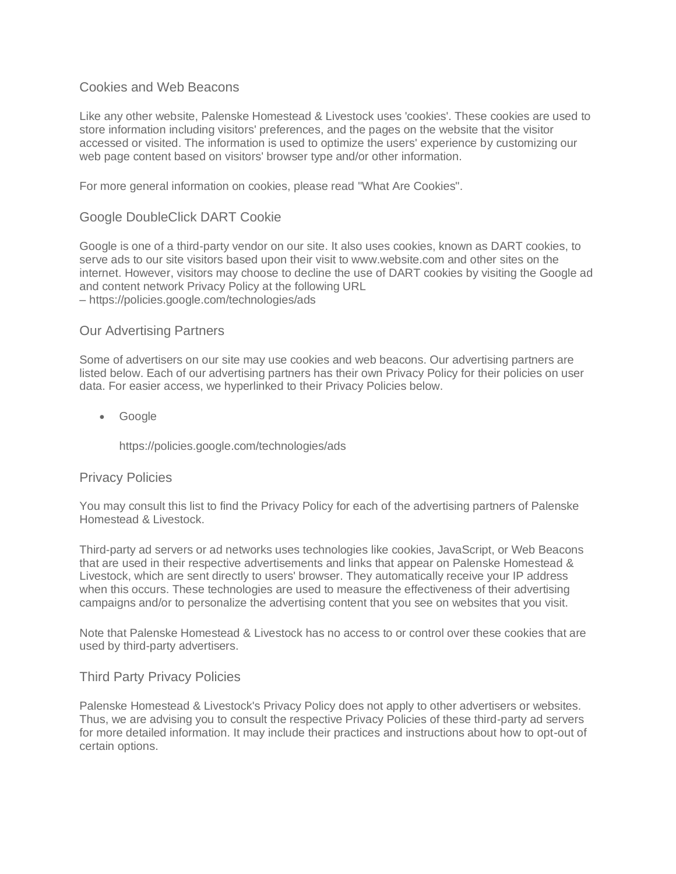# Cookies and Web Beacons

Like any other website, Palenske Homestead & Livestock uses 'cookies'. These cookies are used to store information including visitors' preferences, and the pages on the website that the visitor accessed or visited. The information is used to optimize the users' experience by customizing our web page content based on visitors' browser type and/or other information.

For more general information on cookies, please read ["What Are Cookies".](https://www.cookieconsent.com/what-are-cookies/)

## Google DoubleClick DART Cookie

Google is one of a third-party vendor on our site. It also uses cookies, known as DART cookies, to serve ads to our site visitors based upon their visit to www.website.com and other sites on the internet. However, visitors may choose to decline the use of DART cookies by visiting the Google ad and content network Privacy Policy at the following URL – <https://policies.google.com/technologies/ads>

## Our Advertising Partners

Some of advertisers on our site may use cookies and web beacons. Our advertising partners are listed below. Each of our advertising partners has their own Privacy Policy for their policies on user data. For easier access, we hyperlinked to their Privacy Policies below.

• Google

<https://policies.google.com/technologies/ads>

#### Privacy Policies

You may consult this list to find the Privacy Policy for each of the advertising partners of Palenske Homestead & Livestock.

Third-party ad servers or ad networks uses technologies like cookies, JavaScript, or Web Beacons that are used in their respective advertisements and links that appear on Palenske Homestead & Livestock, which are sent directly to users' browser. They automatically receive your IP address when this occurs. These technologies are used to measure the effectiveness of their advertising campaigns and/or to personalize the advertising content that you see on websites that you visit.

Note that Palenske Homestead & Livestock has no access to or control over these cookies that are used by third-party advertisers.

#### Third Party Privacy Policies

Palenske Homestead & Livestock's Privacy Policy does not apply to other advertisers or websites. Thus, we are advising you to consult the respective Privacy Policies of these third-party ad servers for more detailed information. It may include their practices and instructions about how to opt-out of certain options.